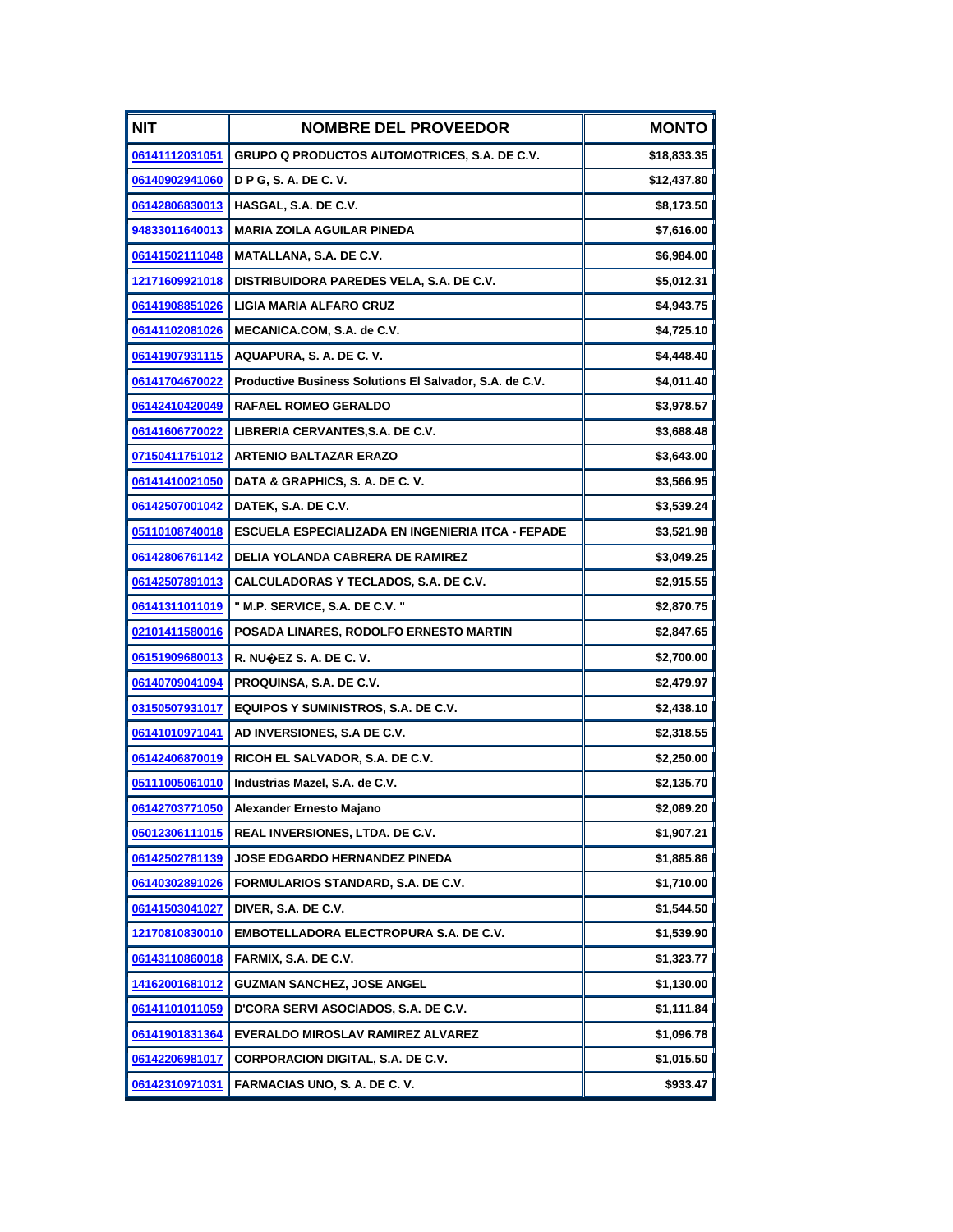| <b>NIT</b>            | <b>NOMBRE DEL PROVEEDOR</b>                             | <b>MONTO</b> |
|-----------------------|---------------------------------------------------------|--------------|
| 06141112031051        | <b>GRUPO Q PRODUCTOS AUTOMOTRICES, S.A. DE C.V.</b>     | \$18,833.35  |
| 06140902941060        | <b>D P G, S. A. DE C. V.</b>                            | \$12,437.80  |
| 06142806830013        | HASGAL, S.A. DE C.V.                                    | \$8,173.50   |
| 94833011640013        | <b>MARIA ZOILA AGUILAR PINEDA</b>                       | \$7,616.00   |
| 06141502111048        | MATALLANA, S.A. DE C.V.                                 | \$6,984.00   |
| 12171609921018        | DISTRIBUIDORA PAREDES VELA, S.A. DE C.V.                | \$5,012.31   |
| 06141908851026        | <b>LIGIA MARIA ALFARO CRUZ</b>                          | \$4,943.75   |
| 06141102081026        | MECANICA.COM, S.A. de C.V.                              | \$4,725.10   |
| 06141907931115        | AQUAPURA, S. A. DE C. V.                                | \$4,448.40   |
| 06141704670022        | Productive Business Solutions El Salvador, S.A. de C.V. | \$4,011.40   |
| 06142410420049        | <b>RAFAEL ROMEO GERALDO</b>                             | \$3,978.57   |
| 06141606770022        | LIBRERIA CERVANTES, S.A. DE C.V.                        | \$3,688.48   |
| <u>07150411751012</u> | <b>ARTENIO BALTAZAR ERAZO</b>                           | \$3,643.00   |
| 06141410021050        | DATA & GRAPHICS, S. A. DE C. V.                         | \$3,566.95   |
| 06142507001042        | DATEK, S.A. DE C.V.                                     | \$3,539.24   |
| 05110108740018        | ESCUELA ESPECIALIZADA EN INGENIERIA ITCA - FEPADE       | \$3,521.98   |
| 06142806761142        | DELIA YOLANDA CABRERA DE RAMIREZ                        | \$3,049.25   |
| 06142507891013        | CALCULADORAS Y TECLADOS, S.A. DE C.V.                   | \$2,915.55   |
| 06141311011019        | " M.P. SERVICE, S.A. DE C.V. "                          | \$2,870.75   |
| 02101411580016        | POSADA LINARES, RODOLFO ERNESTO MARTIN                  | \$2,847.65   |
| 06151909680013        | R. NUOEZ S. A. DE C. V.                                 | \$2,700.00   |
| 06140709041094        | PROQUINSA, S.A. DE C.V.                                 | \$2,479.97   |
| 03150507931017        | EQUIPOS Y SUMINISTROS, S.A. DE C.V.                     | \$2,438.10   |
| 06141010971041        | AD INVERSIONES, S.A DE C.V.                             | \$2,318.55   |
| 06142406870019        | RICOH EL SALVADOR, S.A. DE C.V.                         | \$2,250.00   |
| 05111005061010        | Industrias Mazel, S.A. de C.V.                          | \$2,135.70   |
| 06142703771050        | Alexander Ernesto Majano                                | \$2,089.20   |
| 05012306111015        | REAL INVERSIONES, LTDA. DE C.V.                         | \$1,907.21   |
| 06142502781139        | <b>JOSE EDGARDO HERNANDEZ PINEDA</b>                    | \$1,885.86   |
| 06140302891026        | FORMULARIOS STANDARD, S.A. DE C.V.                      | \$1,710.00   |
| 06141503041027        | DIVER, S.A. DE C.V.                                     | \$1,544.50   |
| 12170810830010        | EMBOTELLADORA ELECTROPURA S.A. DE C.V.                  | \$1,539.90   |
| 06143110860018        | FARMIX, S.A. DE C.V.                                    | \$1,323.77   |
| 14162001681012        | <b>GUZMAN SANCHEZ, JOSE ANGEL</b>                       | \$1,130.00   |
| <u>06141101011059</u> | D'CORA SERVI ASOCIADOS, S.A. DE C.V.                    | \$1,111.84   |
| 06141901831364        | EVERALDO MIROSLAV RAMIREZ ALVAREZ                       | \$1,096.78   |
| 06142206981017        | <b>CORPORACION DIGITAL, S.A. DE C.V.</b>                | \$1,015.50   |
| 06142310971031        | FARMACIAS UNO, S. A. DE C. V.                           | \$933.47     |